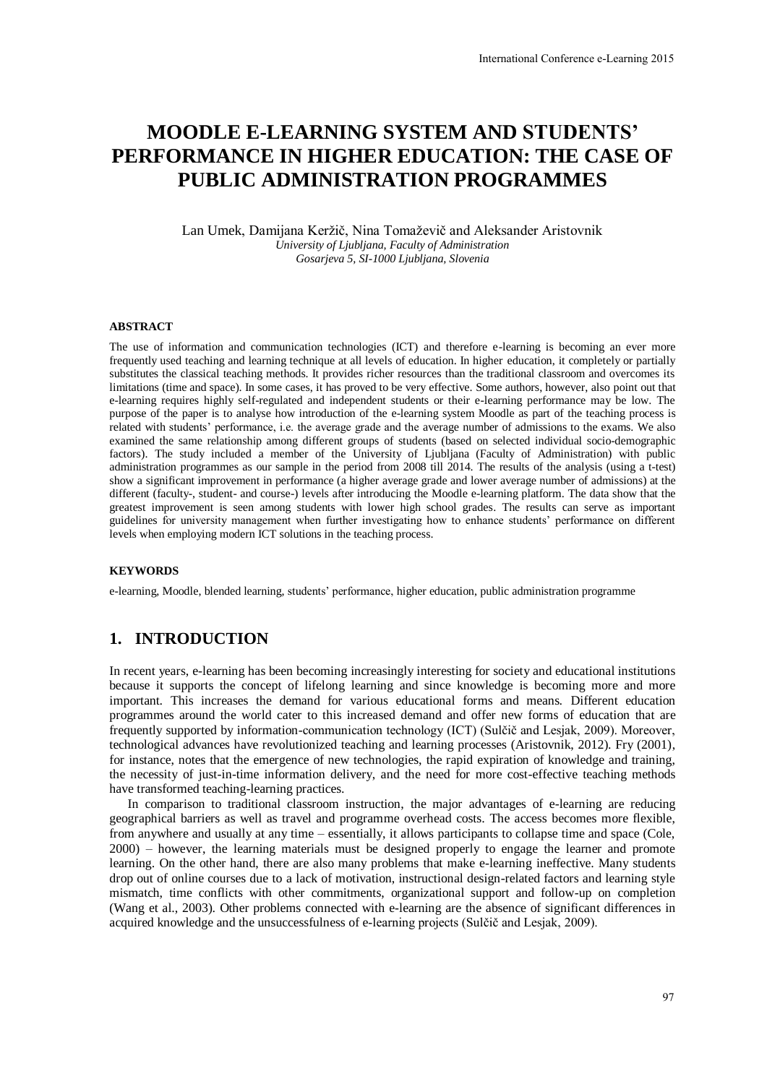# **MOODLE E-LEARNING SYSTEM AND STUDENTS' PERFORMANCE IN HIGHER EDUCATION: THE CASE OF PUBLIC ADMINISTRATION PROGRAMMES**

Lan Umek, Damijana Keržič, Nina Tomaževič and Aleksander Aristovnik *University of Ljubljana, Faculty of Administration Gosarjeva 5, SI-1000 Ljubljana, Slovenia* 

#### **ABSTRACT**

The use of information and communication technologies (ICT) and therefore e-learning is becoming an ever more frequently used teaching and learning technique at all levels of education. In higher education, it completely or partially substitutes the classical teaching methods. It provides richer resources than the traditional classroom and overcomes its limitations (time and space). In some cases, it has proved to be very effective. Some authors, however, also point out that e-learning requires highly self-regulated and independent students or their e-learning performance may be low. The purpose of the paper is to analyse how introduction of the e-learning system Moodle as part of the teaching process is related with students' performance, i.e. the average grade and the average number of admissions to the exams. We also examined the same relationship among different groups of students (based on selected individual socio-demographic factors). The study included a member of the University of Ljubljana (Faculty of Administration) with public administration programmes as our sample in the period from 2008 till 2014. The results of the analysis (using a t-test) show a significant improvement in performance (a higher average grade and lower average number of admissions) at the different (faculty-, student- and course-) levels after introducing the Moodle e-learning platform. The data show that the greatest improvement is seen among students with lower high school grades. The results can serve as important guidelines for university management when further investigating how to enhance students' performance on different levels when employing modern ICT solutions in the teaching process. International Conference e-Learning 2015<br> **NDD STUDENTS'**<br> **NOD STUDENTS'**<br> **IOGRAMMES**<br> **IOGRAMMES**<br> **IOGRAMMES**<br> **IOGRAMMES**<br> **ICCONS**<br> **ICCONS**<br> **ICCONS**<br> **ICCONS**<br> **ICCONS**<br> **ICCONS**<br> **ICCONS**<br> **ICCONS**<br> **ICCONS**<br> **ICC** 

#### **KEYWORDS**

e-learning, Moodle, blended learning, students' performance, higher education, public administration programme

### **1. INTRODUCTION**

In recent years, e-learning has been becoming increasingly interesting for society and educational institutions because it supports the concept of lifelong learning and since knowledge is becoming more and more important. This increases the demand for various educational forms and means. Different education programmes around the world cater to this increased demand and offer new forms of education that are frequently supported by information-communication technology (ICT) (Sulčič and Lesjak, 2009). Moreover, technological advances have revolutionized teaching and learning processes (Aristovnik, 2012). Fry (2001), for instance, notes that the emergence of new technologies, the rapid expiration of knowledge and training, the necessity of just-in-time information delivery, and the need for more cost-effective teaching methods have transformed teaching-learning practices.

In comparison to traditional classroom instruction, the major advantages of e-learning are reducing geographical barriers as well as travel and programme overhead costs. The access becomes more flexible, from anywhere and usually at any time – essentially, it allows participants to collapse time and space (Cole, 2000) – however, the learning materials must be designed properly to engage the learner and promote learning. On the other hand, there are also many problems that make e-learning ineffective. Many students drop out of online courses due to a lack of motivation, instructional design-related factors and learning style mismatch, time conflicts with other commitments, organizational support and follow-up on completion (Wang et al., 2003). Other problems connected with e-learning are the absence of significant differences in acquired knowledge and the unsuccessfulness of e-learning projects (Sulčič and Lesjak, 2009).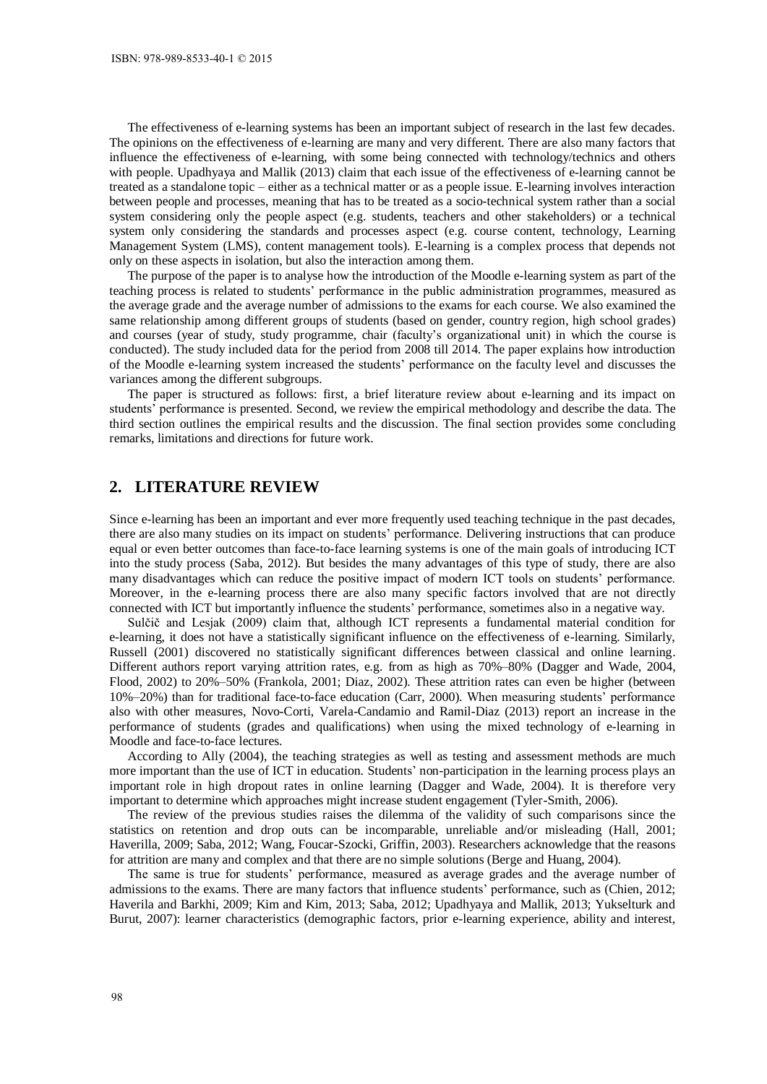The effectiveness of e-learning systems has been an important subject of research in the last few decades. The opinions on the effectiveness of e-learning are many and very different. There are also many factors that influence the effectiveness of e-learning, with some being connected with technology/technics and others with people. Upadhyaya and Mallik (2013) claim that each issue of the effectiveness of e-learning cannot be treated as a standalone topic – either as a technical matter or as a people issue. E-learning involves interaction between people and processes, meaning that has to be treated as a socio-technical system rather than a social system considering only the people aspect (e.g. students, teachers and other stakeholders) or a technical system only considering the standards and processes aspect (e.g. course content, technology, Learning Management System (LMS), content management tools). E-learning is a complex process that depends not only on these aspects in isolation, but also the interaction among them.

The purpose of the paper is to analyse how the introduction of the Moodle e-learning system as part of the teaching process is related to students' performance in the public administration programmes, measured as the average grade and the average number of admissions to the exams for each course. We also examined the same relationship among different groups of students (based on gender, country region, high school grades) and courses (year of study, study programme, chair (faculty's organizational unit) in which the course is conducted). The study included data for the period from 2008 till 2014. The paper explains how introduction of the Moodle e-learning system increased the students' performance on the faculty level and discusses the variances among the different subgroups.

The paper is structured as follows: first, a brief literature review about e-learning and its impact on students' performance is presented. Second, we review the empirical methodology and describe the data. The third section outlines the empirical results and the discussion. The final section provides some concluding remarks, limitations and directions for future work.

## **2. LITERATURE REVIEW**

Since e-learning has been an important and ever more frequently used teaching technique in the past decades, there are also many studies on its impact on students' performance. Delivering instructions that can produce equal or even better outcomes than face-to-face learning systems is one of the main goals of introducing ICT into the study process (Saba, 2012). But besides the many advantages of this type of study, there are also many disadvantages which can reduce the positive impact of modern ICT tools on students' performance. Moreover, in the e-learning process there are also many specific factors involved that are not directly connected with ICT but importantly influence the students' performance, sometimes also in a negative way.

Sulčič and Lesjak (2009) claim that, although ICT represents a fundamental material condition for e-learning, it does not have a statistically significant influence on the effectiveness of e-learning. Similarly, Russell (2001) discovered no statistically significant differences between classical and online learning. Different authors report varying attrition rates, e.g. from as high as 70%–80% [\(Dagger and Wade, 2004,](http://tojde.anadolu.edu.tr/tojde6/articles/jim2.htm)  [Flood,](http://tojde.anadolu.edu.tr/tojde6/articles/jim2.htm) 2002) to 20%–50% [\(Frankola,](http://atoz.ebsco.com/home.asp?id=1416&sid=119795885&bid=2315&lang=eng&page=6) 2001; [Diaz,](http://technologysource.org/article/online_drop_rates_revisited/) 2002). These attrition rates can even be higher (between 10%–20%) than for traditional face-to-face education [\(Carr,](http://chronicle.com/free/v46/i23/23a00101.htm) 2000). When measuring students' performance also with other measures, Novo-Corti, Varela-Candamio and Ramil-Diaz (2013) report an increase in the performance of students (grades and qualifications) when using the mixed technology of e-learning in Moodle and face-to-face lectures.

According to Ally (2004), the teaching strategies as well as testing and assessment methods are much more important than the use of ICT in education. Students' non-participation in the learning process plays an important role in high dropout rates in online learning (Dagger and Wade, 2004). It is therefore very important to determine which approaches might increase student engagement (Tyler-Smith, 2006).

The review of the previous studies raises the dilemma of the validity of such comparisons since the statistics on retention and drop outs can be incomparable, unreliable and/or misleading [\(Hall,](http://www.scre.ac.uk/scot-research/wastage/wastage.pdf) 2001; Haverilla, 2009; Saba, 2012[; Wang, Foucar-Szocki, Griffin, 2](http://www.masie.com/researchgrants/2003/JMU_Final_Report.pdf)003). Researchers acknowledge that the reasons for attrition are many and complex and that there are no simple solutions (Berge and Huang, 2004).

The same is true for students' performance, measured as average grades and the average number of admissions to the exams. There are many factors that influence students' performance, such as (Chien, 2012; Haverila and Barkhi, 2009; Kim and Kim, 2013; Saba, 2012; Upadhyaya and Mallik, 2013; Yukselturk and Burut, 2007): learner characteristics (demographic factors, prior e-learning experience, ability and interest,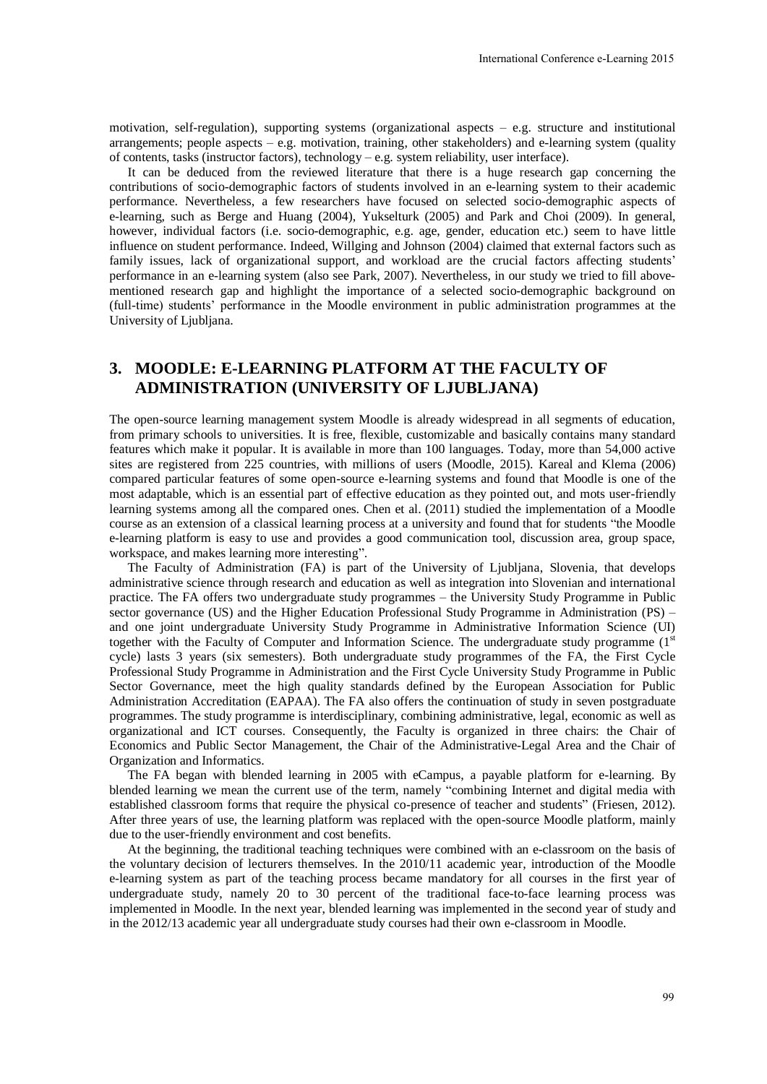motivation, self-regulation), supporting systems (organizational aspects – e.g. structure and institutional arrangements; people aspects  $-$  e.g. motivation, training, other stakeholders) and e-learning system (quality of contents, tasks (instructor factors), technology – e.g. system reliability, user interface).

It can be deduced from the reviewed literature that there is a huge research gap concerning the contributions of socio-demographic factors of students involved in an e-learning system to their academic performance. Nevertheless, a few researchers have focused on selected socio-demographic aspects of e-learning, such as Berge and Huang (2004), Yukselturk (2005) and Park and Choi (2009). In general, however, individual factors (i.e. socio-demographic, e.g. age, gender, education etc.) seem to have little influence on student performance. Indeed, Willging and Johnson (2004) claimed that external factors such as family issues, lack of organizational support, and workload are the crucial factors affecting students' performance in an e-learning system (also see Park, 2007). Nevertheless, in our study we tried to fill abovementioned research gap and highlight the importance of a selected socio-demographic background on (full-time) students' performance in the Moodle environment in public administration programmes at the University of Ljubljana.

# **3. MOODLE: E-LEARNING PLATFORM AT THE FACULTY OF ADMINISTRATION (UNIVERSITY OF LJUBLJANA)**

The open-source learning management system Moodle is already widespread in all segments of education, from primary schools to universities. It is free, flexible, customizable and basically contains many standard features which make it popular. It is available in more than 100 languages. Today, more than 54,000 active sites are registered from 225 countries, with millions of users (Moodle, 2015). Kareal and Klema (2006) compared particular features of some open-source e-learning systems and found that Moodle is one of the most adaptable, which is an essential part of effective education as they pointed out, and mots user-friendly learning systems among all the compared ones. Chen et al. (2011) studied the implementation of a Moodle course as an extension of a classical learning process at a university and found that for students "the Moodle e-learning platform is easy to use and provides a good communication tool, discussion area, group space, workspace, and makes learning more interesting".

The Faculty of Administration (FA) is part of the University of Ljubljana, Slovenia, that develops administrative science through research and education as well as integration into Slovenian and international practice. The FA offers two undergraduate study programmes – the University Study Programme in Public sector governance (US) and the Higher Education Professional Study Programme in Administration (PS) – and one joint undergraduate University Study Programme in Administrative Information Science (UI) together with the Faculty of Computer and Information Science. The undergraduate study programme (1st) cycle) lasts 3 years (six semesters). Both undergraduate study programmes of the FA, the First Cycle Professional Study Programme in Administration and the First Cycle University Study Programme in Public Sector Governance, meet the high quality standards defined by the European Association for Public Administration Accreditation (EAPAA). The FA also offers the continuation of study in seven postgraduate programmes. The study programme is interdisciplinary, combining administrative, legal, economic as well as organizational and ICT courses. Consequently, the Faculty is organized in three chairs: the Chair of Economics and Public Sector Management, the Chair of the Administrative-Legal Area and the Chair of Organization and Informatics. International Conference e-Learning 2015<br>
cts – e.g. structure and institutional<br>
olders) and e-learning system (quality), user interface).<br>
hy user interface).<br>
hy user interface) and comparing the learning system (on th

The FA began with blended learning in 2005 with eCampus, a payable platform for e-learning. By blended learning we mean the current use of the term, namely "combining Internet and digital media with established classroom forms that require the physical co-presence of teacher and students" (Friesen, 2012). After three years of use, the learning platform was replaced with the open-source Moodle platform, mainly due to the user-friendly environment and cost benefits.

At the beginning, the traditional teaching techniques were combined with an e-classroom on the basis of the voluntary decision of lecturers themselves. In the 2010/11 academic year, introduction of the Moodle e-learning system as part of the teaching process became mandatory for all courses in the first year of undergraduate study, namely 20 to 30 percent of the traditional face-to-face learning process was implemented in Moodle. In the next year, blended learning was implemented in the second year of study and in the 2012/13 academic year all undergraduate study courses had their own e-classroom in Moodle.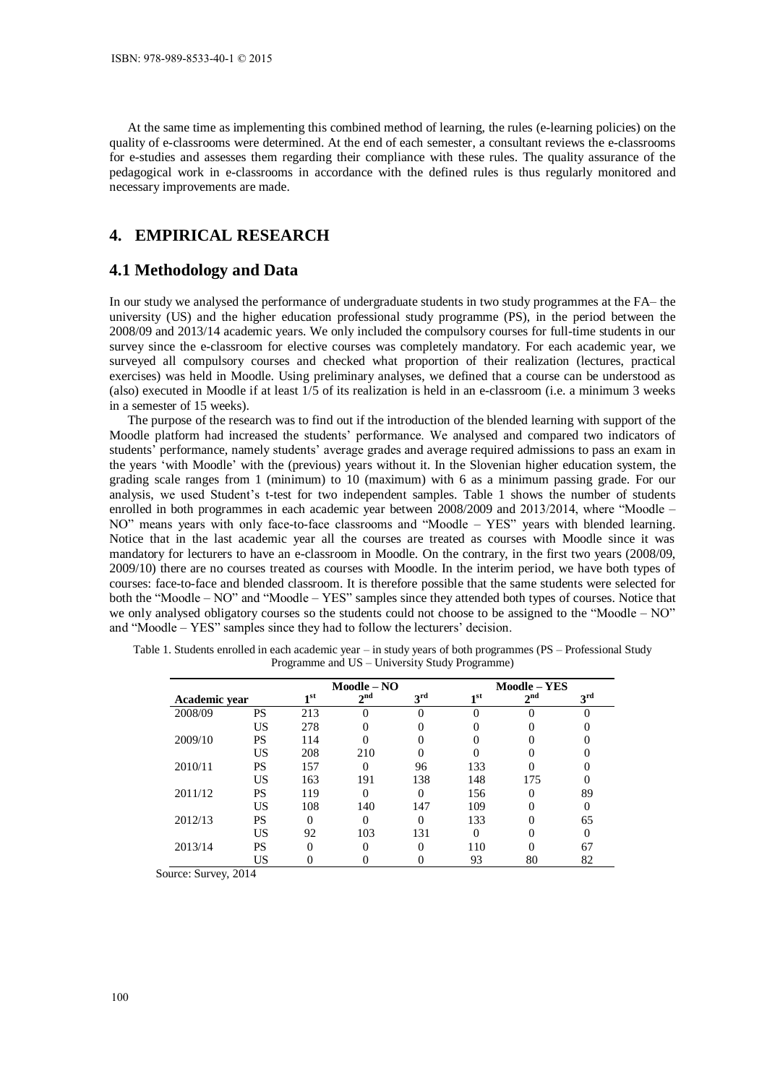At the same time as implementing this combined method of learning, the rules (e-learning policies) on the quality of e-classrooms were determined. At the end of each semester, a consultant reviews the e-classrooms for e-studies and assesses them regarding their compliance with these rules. The quality assurance of the pedagogical work in e-classrooms in accordance with the defined rules is thus regularly monitored and necessary improvements are made.

# **4. EMPIRICAL RESEARCH**

### **4.1 Methodology and Data**

In our study we analysed the performance of undergraduate students in two study programmes at the FA– the university (US) and the higher education professional study programme (PS), in the period between the 2008/09 and 2013/14 academic years. We only included the compulsory courses for full-time students in our survey since the e-classroom for elective courses was completely mandatory. For each academic year, we surveyed all compulsory courses and checked what proportion of their realization (lectures, practical exercises) was held in Moodle. Using preliminary analyses, we defined that a course can be understood as (also) executed in Moodle if at least 1/5 of its realization is held in an e-classroom (i.e. a minimum 3 weeks in a semester of 15 weeks).

The purpose of the research was to find out if the introduction of the blended learning with support of the Moodle platform had increased the students' performance. We analysed and compared two indicators of students' performance, namely students' average grades and average required admissions to pass an exam in the years 'with Moodle' with the (previous) years without it. In the Slovenian higher education system, the grading scale ranges from 1 (minimum) to 10 (maximum) with 6 as a minimum passing grade. For our analysis, we used Student's t-test for two independent samples. Table 1 shows the number of students enrolled in both programmes in each academic year between 2008/2009 and 2013/2014, where "Moodle – NO" means years with only face-to-face classrooms and "Moodle – YES" years with blended learning. Notice that in the last academic year all the courses are treated as courses with Moodle since it was mandatory for lecturers to have an e-classroom in Moodle. On the contrary, in the first two years (2008/09, 2009/10) there are no courses treated as courses with Moodle. In the interim period, we have both types of courses: face-to-face and blended classroom. It is therefore possible that the same students were selected for both the "Moodle – NO" and "Moodle – YES" samples since they attended both types of courses. Notice that we only analysed obligatory courses so the students could not choose to be assigned to the "Moodle – NO" and "Moodle – YES" samples since they had to follow the lecturers' decision.

|               |           | $Module - NO$   |                 |                 | <b>Moodle - YES</b> |                 |                 |  |
|---------------|-----------|-----------------|-----------------|-----------------|---------------------|-----------------|-----------------|--|
| Academic year |           | 1 <sup>st</sup> | $2^{\text{nd}}$ | 3 <sup>rd</sup> | 1 <sup>st</sup>     | 2 <sup>nd</sup> | 3 <sup>rd</sup> |  |
| 2008/09       | PS        | 213             |                 |                 |                     |                 |                 |  |
|               | US        | 278             |                 |                 |                     |                 |                 |  |
| 2009/10       | <b>PS</b> | 114             |                 |                 |                     |                 |                 |  |
|               | US        | 208             | 210             |                 |                     |                 |                 |  |
| 2010/11       | <b>PS</b> | 157             |                 | 96              | 133                 |                 |                 |  |
|               | US        | 163             | 191             | 138             | 148                 | 175             |                 |  |
| 2011/12       | <b>PS</b> | 119             |                 |                 | 156                 |                 | 89              |  |
|               | US        | 108             | 140             | 147             | 109                 |                 |                 |  |
| 2012/13       | PS        |                 |                 |                 | 133                 |                 | 65              |  |
|               | US        | 92              | 103             | 131             |                     |                 |                 |  |
| 2013/14       | <b>PS</b> | 0               |                 | 0               | 110                 |                 | 67              |  |
|               | US        |                 |                 |                 | 93                  | 80              | 82              |  |

Table 1. Students enrolled in each academic year – in study years of both programmes (PS – Professional Study Programme and US – University Study Programme)

Source: Survey, 2014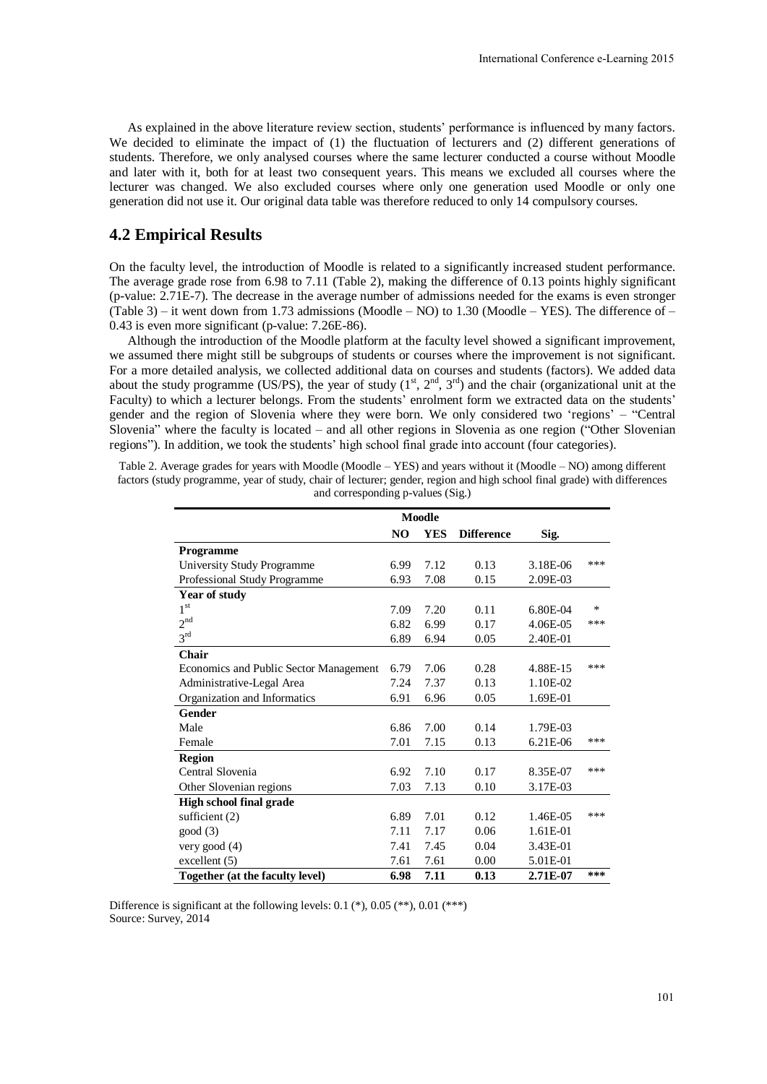As explained in the above literature review section, students' performance is influenced by many factors. We decided to eliminate the impact of (1) the fluctuation of lecturers and (2) different generations of students. Therefore, we only analysed courses where the same lecturer conducted a course without Moodle and later with it, both for at least two consequent years. This means we excluded all courses where the lecturer was changed. We also excluded courses where only one generation used Moodle or only one generation did not use it. Our original data table was therefore reduced to only 14 compulsory courses.

### **4.2 Empirical Results**

On the faculty level, the introduction of Moodle is related to a significantly increased student performance. The average grade rose from 6.98 to 7.11 [\(Table 2\)](#page-4-0), making the difference of 0.13 points highly significant (p-value: 2.71E-7). The decrease in the average number of admissions needed for the exams is even stronger [\(Table 3\)](#page-5-0) – it went down from 1.73 admissions (Moodle – NO) to 1.30 (Moodle – YES). The difference of – 0.43 is even more significant (p-value: 7.26E-86).

Although the introduction of the Moodle platform at the faculty level showed a significant improvement, we assumed there might still be subgroups of students or courses where the improvement is not significant. For a more detailed analysis, we collected additional data on courses and students (factors). We added data about the study programme (US/PS), the year of study  $(1^{st}, 2^{nd}, 3^{rd})$  and the chair (organizational unit at the Faculty) to which a lecturer belongs. From the students' enrolment form we extracted data on the students' gender and the region of Slovenia where they were born. We only considered two 'regions' – "Central Slovenia" where the faculty is located – and all other regions in Slovenia as one region ("Other Slovenian regions"). In addition, we took the students' high school final grade into account (four categories).

<span id="page-4-0"></span>Table 2. Average grades for years with Moodle (Moodle – YES) and years without it (Moodle – NO) among different factors (study programme, year of study, chair of lecturer; gender, region and high school final grade) with differences and corresponding p-values (Sig.)

|                                        | <b>Moodle</b> |            |                   |          |     |
|----------------------------------------|---------------|------------|-------------------|----------|-----|
|                                        | NO            | <b>YES</b> | <b>Difference</b> | Sig.     |     |
| <b>Programme</b>                       |               |            |                   |          |     |
| <b>University Study Programme</b>      | 6.99          | 7.12       | 0.13              | 3.18E-06 | *** |
| Professional Study Programme           | 6.93          | 7.08       | 0.15              | 2.09E-03 |     |
| Year of study                          |               |            |                   |          |     |
| 1 <sup>st</sup>                        | 7.09          | 7.20       | 0.11              | 6.80E-04 | *   |
| 2 <sup>nd</sup>                        | 6.82          | 6.99       | 0.17              | 4.06E-05 | *** |
| 3 <sup>rd</sup>                        | 6.89          | 6.94       | 0.05              | 2.40E-01 |     |
| Chair                                  |               |            |                   |          |     |
| Economics and Public Sector Management | 6.79          | 7.06       | 0.28              | 4.88E-15 | *** |
| Administrative-Legal Area              | 7.24          | 7.37       | 0.13              | 1.10E-02 |     |
| Organization and Informatics           | 6.91          | 6.96       | 0.05              | 1.69E-01 |     |
| Gender                                 |               |            |                   |          |     |
| Male                                   | 6.86          | 7.00       | 0.14              | 1.79E-03 |     |
| Female                                 | 7.01          | 7.15       | 0.13              | 6.21E-06 | *** |
| <b>Region</b>                          |               |            |                   |          |     |
| Central Slovenia                       | 6.92          | 7.10       | 0.17              | 8.35E-07 | *** |
| Other Slovenian regions                | 7.03          | 7.13       | 0.10              | 3.17E-03 |     |
| <b>High school final grade</b>         |               |            |                   |          |     |
| sufficient $(2)$                       | 6.89          | 7.01       | 0.12              | 1.46E-05 | *** |
| good(3)                                | 7.11          | 7.17       | 0.06              | 1.61E-01 |     |
| very good $(4)$                        | 7.41          | 7.45       | 0.04              | 3.43E-01 |     |
| excellent $(5)$                        | 7.61          | 7.61       | 0.00              | 5.01E-01 |     |
| Together (at the faculty level)        | 6.98          | 7.11       | 0.13              | 2.71E-07 | *** |

Difference is significant at the following levels:  $0.1$  (\*),  $0.05$  (\*\*),  $0.01$  (\*\*\*) Source: Survey, 2014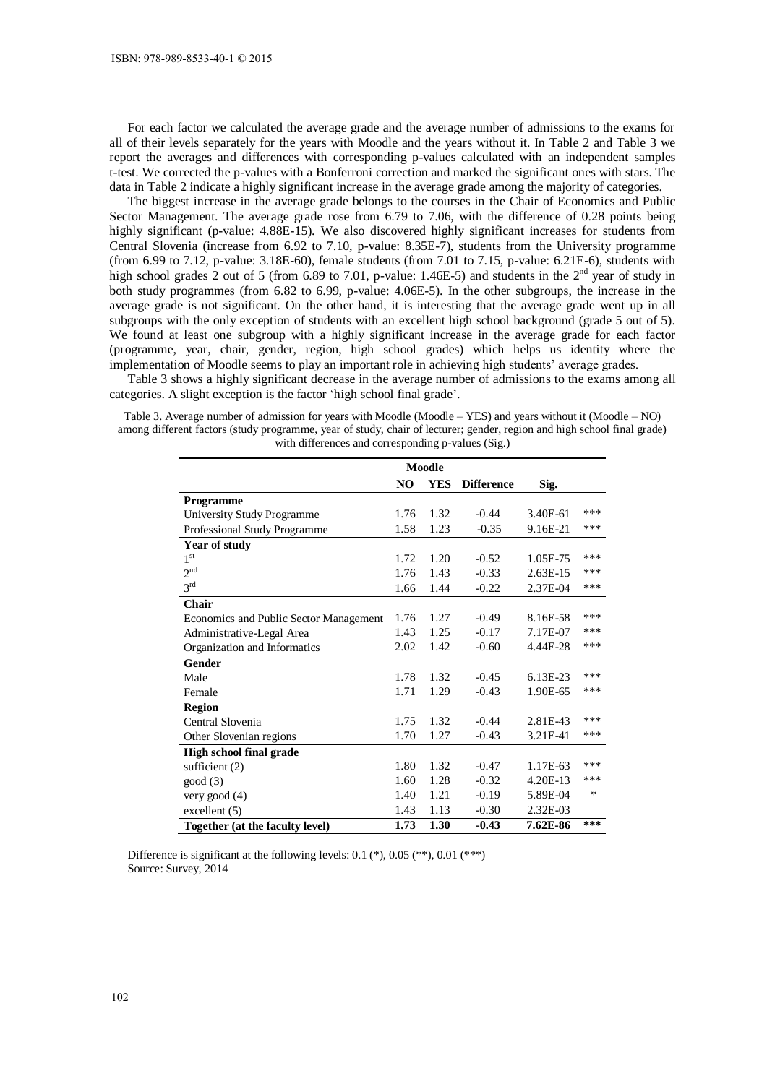For each factor we calculated the average grade and the average number of admissions to the exams for all of their levels separately for the years with Moodle and the years without it. In [Table 2](#page-4-0) and [Table 3](#page-5-0) we report the averages and differences with corresponding p-values calculated with an independent samples t-test. We corrected the p-values with a Bonferroni correction and marked the significant ones with stars. The data in [Table 2](#page-4-0) indicate a highly significant increase in the average grade among the majority of categories.

The biggest increase in the average grade belongs to the courses in the Chair of Economics and Public Sector Management. The average grade rose from 6.79 to 7.06, with the difference of 0.28 points being highly significant (p-value: 4.88E-15). We also discovered highly significant increases for students from Central Slovenia (increase from 6.92 to 7.10, p-value: 8.35E-7), students from the University programme (from 6.99 to 7.12, p-value: 3.18E-60), female students (from 7.01 to 7.15, p-value: 6.21E-6), students with high school grades 2 out of 5 (from 6.89 to 7.01, p-value: 1.46E-5) and students in the  $2<sup>nd</sup>$  year of study in both study programmes (from 6.82 to 6.99, p-value: 4.06E-5). In the other subgroups, the increase in the average grade is not significant. On the other hand, it is interesting that the average grade went up in all subgroups with the only exception of students with an excellent high school background (grade 5 out of 5). We found at least one subgroup with a highly significant increase in the average grade for each factor (programme, year, chair, gender, region, high school grades) which helps us identity where the implementation of Moodle seems to play an important role in achieving high students' average grades.

[Table 3](#page-5-0) shows a highly significant decrease in the average number of admissions to the exams among all categories. A slight exception is the factor 'high school final grade'.

<span id="page-5-0"></span>Table 3. Average number of admission for years with Moodle (Moodle – YES) and years without it (Moodle – NO) among different factors (study programme, year of study, chair of lecturer; gender, region and high school final grade) with differences and corresponding p-values (Sig.)

|                                        | <b>Moodle</b>  |            |                   |          |     |
|----------------------------------------|----------------|------------|-------------------|----------|-----|
|                                        | N <sub>O</sub> | <b>YES</b> | <b>Difference</b> | Sig.     |     |
| <b>Programme</b>                       |                |            |                   |          |     |
| University Study Programme             | 1.76           | 1.32       | $-0.44$           | 3.40E-61 | *** |
| Professional Study Programme           | 1.58           | 1.23       | $-0.35$           | 9.16E-21 | *** |
| <b>Year of study</b>                   |                |            |                   |          |     |
| 1 <sup>st</sup>                        | 1.72           | 1.20       | $-0.52$           | 1.05E-75 | *** |
| 2 <sup>nd</sup>                        | 1.76           | 1.43       | $-0.33$           | 2.63E-15 | *** |
| 3 <sup>rd</sup>                        | 1.66           | 1.44       | $-0.22$           | 2.37E-04 | *** |
| Chair                                  |                |            |                   |          |     |
| Economics and Public Sector Management | 1.76           | 1.27       | $-0.49$           | 8.16E-58 | *** |
| Administrative-Legal Area              | 1.43           | 1.25       | $-0.17$           | 7.17E-07 | *** |
| Organization and Informatics           | 2.02           | 1.42       | $-0.60$           | 4.44E-28 | *** |
| Gender                                 |                |            |                   |          |     |
| Male                                   | 1.78           | 1.32       | $-0.45$           | 6.13E-23 | *** |
| Female                                 | 1.71           | 1.29       | $-0.43$           | 1.90E-65 | *** |
| <b>Region</b>                          |                |            |                   |          |     |
| Central Slovenia                       | 1.75           | 1.32       | $-0.44$           | 2.81E-43 | *** |
| Other Slovenian regions                | 1.70           | 1.27       | $-0.43$           | 3.21E-41 | *** |
| <b>High school final grade</b>         |                |            |                   |          |     |
| sufficient $(2)$                       | 1.80           | 1.32       | $-0.47$           | 1.17E-63 | *** |
| good(3)                                | 1.60           | 1.28       | $-0.32$           | 4.20E-13 | *** |
| very good $(4)$                        | 1.40           | 1.21       | $-0.19$           | 5.89E-04 | *   |
| excellent(5)                           | 1.43           | 1.13       | $-0.30$           | 2.32E-03 |     |
| Together (at the faculty level)        | 1.73           | 1.30       | $-0.43$           | 7.62E-86 | *** |

Difference is significant at the following levels:  $0.1$  (\*),  $0.05$  (\*\*),  $0.01$  (\*\*\*) Source: Survey, 2014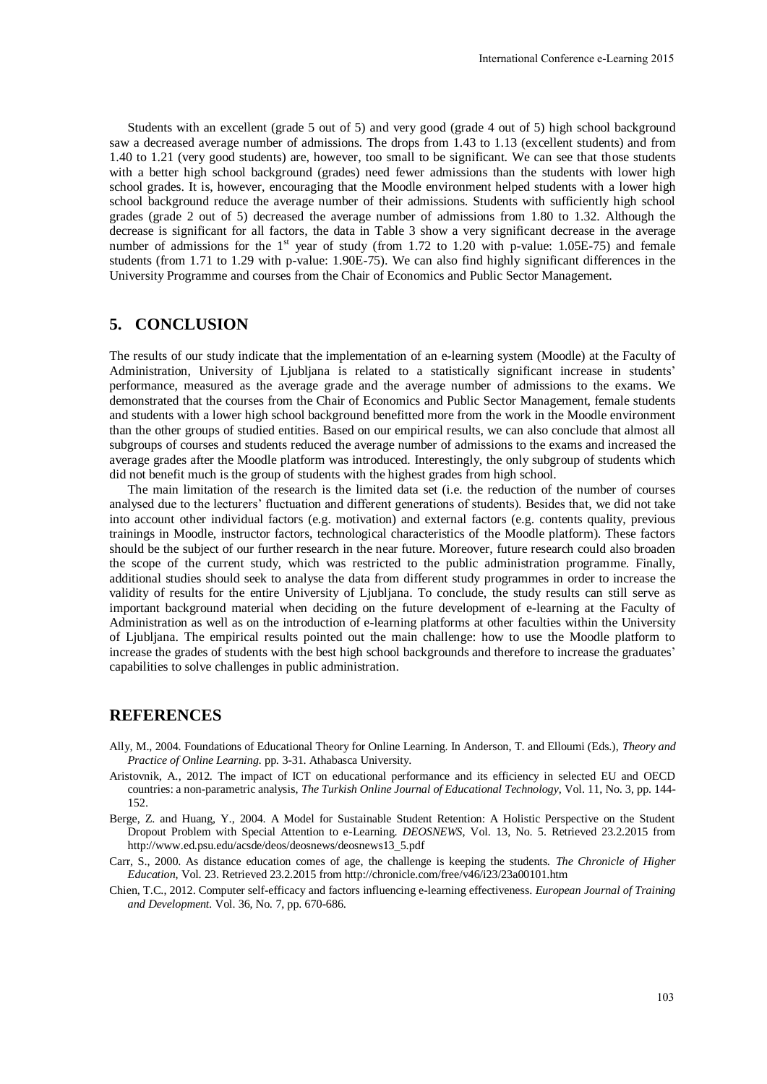Students with an excellent (grade 5 out of 5) and very good (grade 4 out of 5) high school background saw a decreased average number of admissions. The drops from 1.43 to 1.13 (excellent students) and from 1.40 to 1.21 (very good students) are, however, too small to be significant. We can see that those students with a better high school background (grades) need fewer admissions than the students with lower high school grades. It is, however, encouraging that the Moodle environment helped students with a lower high school background reduce the average number of their admissions. Students with sufficiently high school grades (grade 2 out of 5) decreased the average number of admissions from 1.80 to 1.32. Although the decrease is significant for all factors, the data in [Table 3](#page-5-0) show a very significant decrease in the average number of admissions for the 1<sup>st</sup> year of study (from 1.72 to 1.20 with p-value: 1.05E-75) and female students (from 1.71 to 1.29 with p-value: 1.90E-75). We can also find highly significant differences in the University Programme and courses from the Chair of Economics and Public Sector Management.

# **5. CONCLUSION**

The results of our study indicate that the implementation of an e-learning system (Moodle) at the Faculty of Administration, University of Ljubljana is related to a statistically significant increase in students' performance, measured as the average grade and the average number of admissions to the exams. We demonstrated that the courses from the Chair of Economics and Public Sector Management, female students and students with a lower high school background benefitted more from the work in the Moodle environment than the other groups of studied entities. Based on our empirical results, we can also conclude that almost all subgroups of courses and students reduced the average number of admissions to the exams and increased the average grades after the Moodle platform was introduced. Interestingly, the only subgroup of students which did not benefit much is the group of students with the highest grades from high school.

The main limitation of the research is the limited data set (i.e. the reduction of the number of courses analysed due to the lecturers' fluctuation and different generations of students). Besides that, we did not take into account other individual factors (e.g. motivation) and external factors (e.g. contents quality, previous trainings in Moodle, instructor factors, technological characteristics of the Moodle platform). These factors should be the subject of our further research in the near future. Moreover, future research could also broaden the scope of the current study, which was restricted to the public administration programme. Finally, additional studies should seek to analyse the data from different study programmes in order to increase the validity of results for the entire University of Ljubljana. To conclude, the study results can still serve as important background material when deciding on the future development of e-learning at the Faculty of Administration as well as on the introduction of e-learning platforms at other faculties within the University of Ljubljana. The empirical results pointed out the main challenge: how to use the Moodle platform to increase the grades of students with the best high school backgrounds and therefore to increase the graduates' capabilities to solve challenges in public administration.

#### **REFERENCES**

- Ally, M., 2004. Foundations of Educational Theory for Online Learning. In Anderson, T. and Elloumi (Eds.), *Theory and Practice of Online Learning.* pp. 3-31. Athabasca University.
- Aristovnik, A., 2012. The impact of ICT on educational performance and its efficiency in selected EU and OECD countries: a non-parametric analysis, *The Turkish Online Journal of Educational Technology*, Vol. 11, No. 3, pp. 144- 152.
- Berge, Z. and Huang, Y., 2004. A Model for Sustainable Student Retention: A Holistic Perspective on the Student Dropout Problem with Special Attention to e-Learning. *DEOSNEWS*, Vol. 13, No. 5. Retrieved 23.2.2015 from [http://www.ed.psu.edu/acsde/deos/deosnews/deosnews13\\_5.pdf](http://www.ed.psu.edu/acsde/deos/deosnews/deosnews13_5.pdf)
- Carr, S., 2000. As distance education comes of age, the challenge is keeping the students. *The Chronicle of Higher Education*, Vol. 23. Retrieved 23.2.2015 fro[m http://chronicle.com/free/v46/i23/23a00101.htm](http://chronicle.com/free/v46/i23/23a00101.htm)
- Chien, T.C., 2012. Computer self-efficacy and factors influencing e-learning effectiveness. *European Journal of Training and Development.* Vol. 36, No. 7, pp. 670-686.